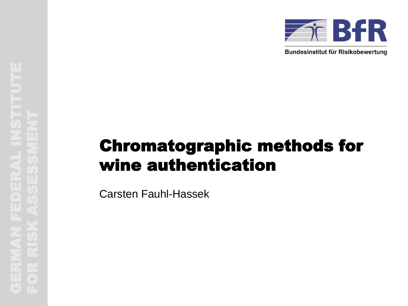

Bundesinstitut für Risikobewertung

# Chromatographic methods for wine authentication

Carsten Fauhl-Hassek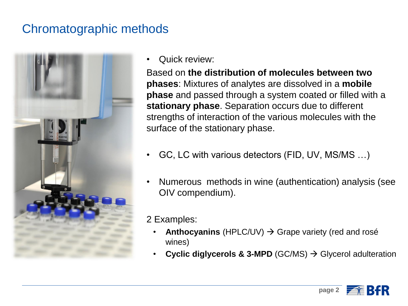### Chromatographic methods



• Quick review:

Based on **the distribution of molecules between two phases**: Mixtures of analytes are dissolved in a **mobile phase** and passed through a system coated or filled with a **stationary phase**. Separation occurs due to different strengths of interaction of the various molecules with the surface of the stationary phase.

- GC, LC with various detectors (FID, UV, MS/MS …)
- Numerous methods in wine (authentication) analysis (see OIV compendium).
- 2 Examples:
	- **Anthocyanins** (HPLC/UV)  $\rightarrow$  Grape variety (red and rosé wines)
	- **Cyclic diglycerols & 3-MPD** (GC/MS) → Glycerol adulteration

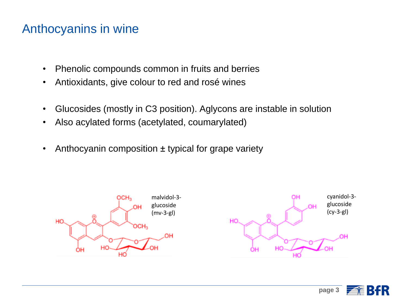#### Anthocyanins in wine

- Phenolic compounds common in fruits and berries
- Antioxidants, give colour to red and rosé wines
- Glucosides (mostly in C3 position). Aglycons are instable in solution
- Also acylated forms (acetylated, coumarylated)
- Anthocyanin composition  $\pm$  typical for grape variety



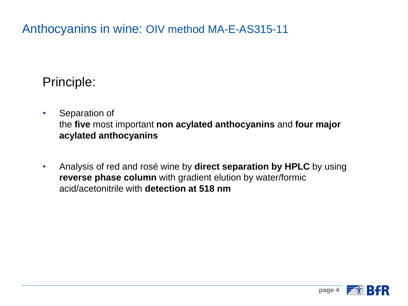Anthocyanins in wine: OIV method MA-E-AS315-11

### Principle:

- Separation of the **five** most important **non acylated anthocyanins** and **four major acylated anthocyanins**
- Analysis of red and rosé wine by **direct separation by HPLC** by using **reverse phase column** with gradient elution by water/formic acid/acetonitrile with **detection at 518 nm**

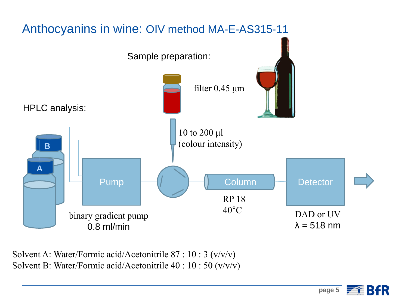

Solvent A: Water/Formic acid/Acetonitrile 87 : 10 : 3 (v/v/v) Solvent B: Water/Formic acid/Acetonitrile 40 : 10 : 50 (v/v/v)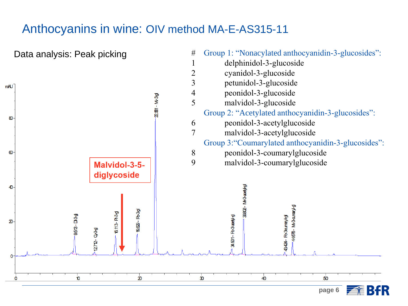#### Anthocyanins in wine: OIV method MA-E-AS315-11

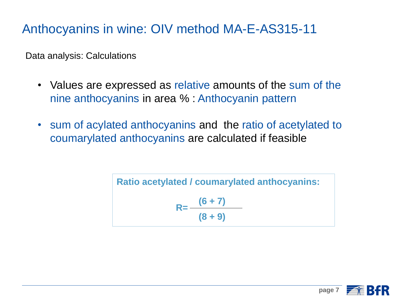### Anthocyanins in wine: OIV method MA-E-AS315-11

Data analysis: Calculations

- Values are expressed as relative amounts of the sum of the nine anthocyanins in area % : Anthocyanin pattern
- sum of acylated anthocyanins and the ratio of acetylated to coumarylated anthocyanins are calculated if feasible

Ratio acetylated / coumarylated anthocyanins:  

$$
R = \frac{(6+7)}{(8+9)}
$$

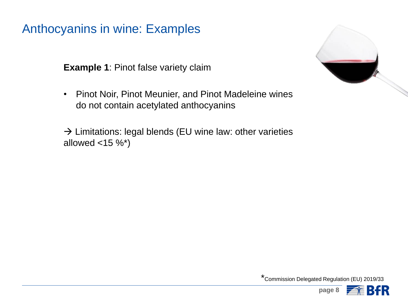Anthocyanins in wine: Examples

**Example 1**: Pinot false variety claim

• Pinot Noir, Pinot Meunier, and Pinot Madeleine wines do not contain acetylated anthocyanins

 $\rightarrow$  Limitations: legal blends (EU wine law: other varieties allowed  $<$ 15 %\*)



\*Commission Delegated Regulation (EU) 2019/33

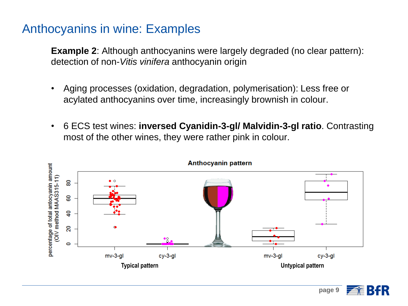#### Anthocyanins in wine: Examples

**Example 2**: Although anthocyanins were largely degraded (no clear pattern): detection of non-*Vitis vinifera* anthocyanin origin

- Aging processes (oxidation, degradation, polymerisation): Less free or acylated anthocyanins over time, increasingly brownish in colour.
- 6 ECS test wines: **inversed Cyanidin-3-gl/ Malvidin-3-gl ratio**. Contrasting most of the other wines, they were rather pink in colour.



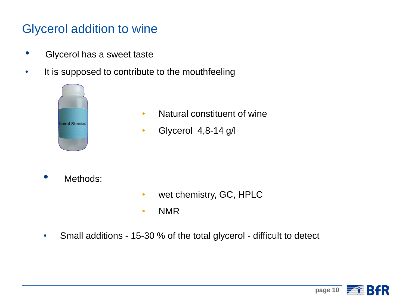### Glycerol addition to wine

- Glycerol has a sweet taste
- It is supposed to contribute to the mouthfeeling



- Natural constituent of wine
- Glycerol 4,8-14 g/l

Methods:

- wet chemistry, GC, HPLC
- NMR
- Small additions 15-30 % of the total glycerol difficult to detect

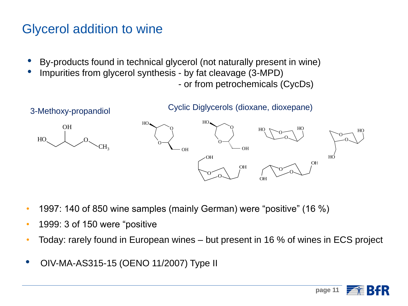# Glycerol addition to wine

- By-products found in technical glycerol (not naturally present in wine)
- Impurities from glycerol synthesis by fat cleavage (3-MPD)

- or from petrochemicals (CycDs)

**page 11**



- 1997: 140 of 850 wine samples (mainly German) were "positive" (16 %)
- 1999: 3 of 150 were "positive
- Today: rarely found in European wines but present in 16 % of wines in ECS project
- OIV-MA-AS315-15 (OENO 11/2007) Type II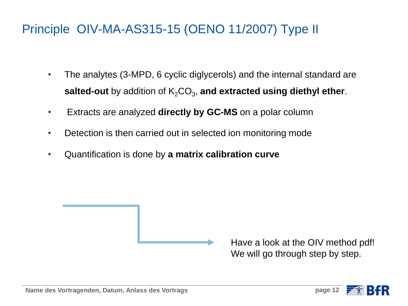### Principle OIV-MA-AS315-15 (OENO 11/2007) Type II

- The analytes (3-MPD, 6 cyclic diglycerols) and the internal standard are salted-out by addition of K<sub>2</sub>CO<sub>3</sub>, and extracted using diethyl ether.
- Extracts are analyzed **directly by GC-MS** on a polar column
- Detection is then carried out in selected ion monitoring mode
- Quantification is done by **a matrix calibration curve**

Have a look at the OIV method pdf! We will go through step by step.

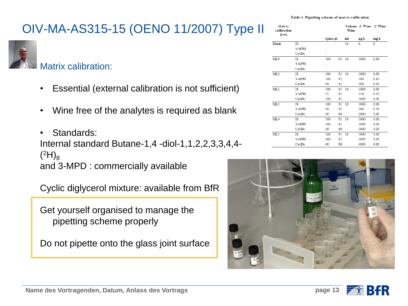

#### Matrix calibration:

- Essential (external calibration is not sufficient)
- Wine free of the analytes is required as blank
- Standards: Internal standard Butane-1,4 -diol-1,1,2,2,3,3,4,4-  $({}^{2}H)_{8}$ and 3-MPD : commercially available

Cyclic diglycerol mixture: available from BfR

Get yourself organised to manage the pipetting scheme properly

Do not pipette onto the glass joint surface

Table 1. Pipetting scheme of matrix calibration

| <b>Matrix</b><br>calibration<br>level |       |     |                | Wine | Volume C Wine | <b>C</b> Wine |  |
|---------------------------------------|-------|-----|----------------|------|---------------|---------------|--|
|                                       |       |     | Spike µl       |      | µg/L          | mg/L          |  |
| <b>Blank</b>                          | IS    |     |                | 10   | 0             | 0             |  |
|                                       | 3-MPD |     |                |      |               |               |  |
|                                       | CycDs |     |                |      |               |               |  |
| ML <sub>0</sub>                       | IS    | 100 | S1             | 10   | 1000          | 1.00          |  |
|                                       | 3-MPD |     |                |      |               |               |  |
|                                       | CycDs |     |                |      |               |               |  |
| ML1                                   | IS    | 100 | S <sub>1</sub> | 10   | 1000          | 1.00          |  |
|                                       | 3-MPD | 100 | S <sub>2</sub> |      | 100           | 0.10          |  |
|                                       | CycDs | 50  | S1             |      | 500           | 0.50          |  |
| ML2                                   | IS    | 100 | S1             | 10   | 1000          | 1.00          |  |
|                                       | 3-MPD | 25  | S <sub>1</sub> |      | 250           | 0.25          |  |
|                                       | CycDs | 100 | S1             |      | 1000          | 1.00          |  |
| ML3                                   | IS    | 100 | S1             | 10   | 1000          | 1.00          |  |
|                                       | 3-MPD | 50  | S1             |      | 500           | 0.50          |  |
|                                       | CycDs | 20  | S <sub>0</sub> |      | 2000          | 2.00          |  |
| ML <sub>4</sub>                       | IS    | 100 | S <sub>1</sub> | 10   | 1000          | 1.00          |  |
|                                       | 3-MPD | 100 | S1             |      | 1000          | 1.00          |  |
|                                       | CycDs | 30  | S0             |      | 3000          | 3.00          |  |
| ML5                                   | IS    | 100 | S <sub>1</sub> | 10   | 1000          | 1.00          |  |
|                                       | 3-MPD | 200 | S1             |      | 2000          | 2.00          |  |
|                                       | CycDs | 40  | S0             |      | 4000          | 4.00          |  |



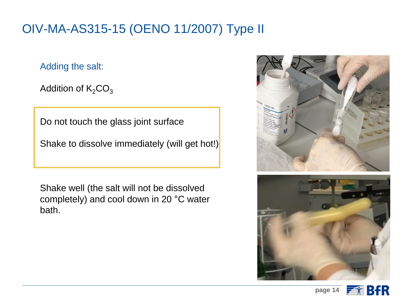Adding the salt:

Addition of  $K_2CO_3$ 

Do not touch the glass joint surface

Shake to dissolve immediately (will get hot!)

Shake well (the salt will not be dissolved completely) and cool down in 20 °C water bath.





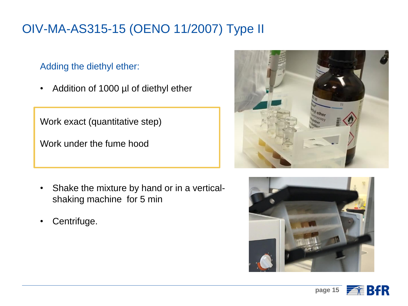#### Adding the diethyl ether:

• Addition of 1000 µl of diethyl ether

Work exact (quantitative step)

Work under the fume hood

- Shake the mixture by hand or in a verticalshaking machine for 5 min
- Centrifuge.





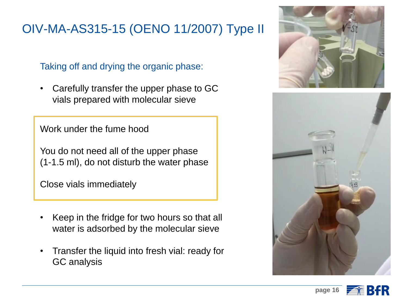Taking off and drying the organic phase:

• Carefully transfer the upper phase to GC vials prepared with molecular sieve

Work under the fume hood

You do not need all of the upper phase (1-1.5 ml), do not disturb the water phase

Close vials immediately

- Keep in the fridge for two hours so that all water is adsorbed by the molecular sieve
- Transfer the liquid into fresh vial: ready for GC analysis





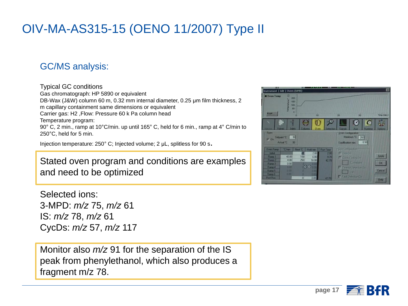#### GC/MS analysis:

#### Typical GC conditions

Gas chromatograph: HP 5890 or equivalent DB-Wax (J&W) column 60 m, 0.32 mm internal diameter, 0.25 μm film thickness, 2 m capillary containment same dimensions or equivalent Carrier gas: H2 ,Flow: Pressure 60 k Pa column head Temperature program: 90° C, 2 min., ramp at 10°C/min. up until 165° C, held for 6 min., ramp at 4° C/min to 250°C, held for 5 min.

Injection temperature: 250° C; Injected volume; 2 μL, splitless for 90 s.

Stated oven program and conditions are examples and need to be optimized

Selected ions: 3-MPD: *m/z* 75, *m/z* 61 IS: *m/z* 78, *m/z* 61 CycDs: *m/z* 57, *m/z* 117

Monitor also *m/z* 91 for the separation of the IS peak from phenylethanol, which also produces a fragment m/z 78.



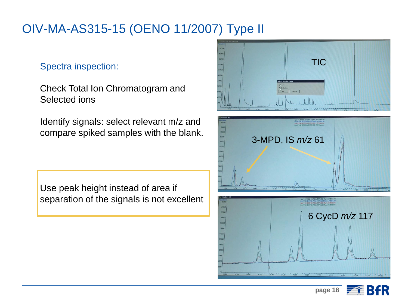Spectra inspection:

Check Total Ion Chromatogram and Selected ions

Identify signals: select relevant m/z and compare spiked samples with the blank.

Use peak height instead of area if separation of the signals is not excellent



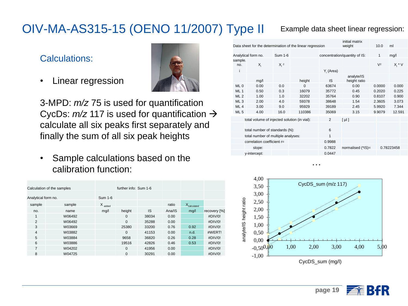#### Calculations:

• Linear regression



3-MPD: *m/z* 75 is used for quantification CycDs:  $m/z$  117 is used for quantification  $\rightarrow$ calculate all six peaks first separately and finally the sum of all six peak heights

• Sample calculations based on the calibration function:

| Calculation of the samples |        |                      | further info: Sum 1-6 |           |        |                  |              |
|----------------------------|--------|----------------------|-----------------------|-----------|--------|------------------|--------------|
| Analytical form no.        |        | Sum 1-6              |                       |           |        |                  |              |
| sample                     | sample | $X$ <sub>added</sub> |                       |           | ratio  | $X_{calculated}$ |              |
| no.                        | name   | mg/l                 | height                | <b>IS</b> | Ana/IS | mg/l             | recovery [%] |
| 1                          | W06492 |                      | $\Omega$              | 38034     | 0.00   |                  | #DIV/0!      |
| 2                          | W06492 |                      | $\Omega$              | 35288     | 0.00   |                  | #DIV/0!      |
| 3                          | W03669 |                      | 25380                 | 33200     | 0.76   | 0.92             | #DIV/0!      |
| $\overline{4}$             | W03882 |                      | $\Omega$              | 41153     | 0.00   | n.d.             | #WERT!       |
| 5                          | W03884 |                      | 9658                  | 36820     | 0.26   | 0.28             | #DIV/0!      |
| 6                          | W03886 |                      | 19516                 | 42826     | 0.46   | 0.53             | #DIV/0!      |
| 7                          | W04202 |                      | $\Omega$              | 41956     | 0.00   |                  | #DIV/0!      |
| 8                          | W04725 |                      | $\Omega$              | 30291     | 0.00   |                  | #DIV/0!      |

#### Example data sheet linear regression:

| initial matrix<br>Data sheet for the determination of the linear regression<br>weight |                     |         |        |                |              |                               | 10.0   | ml         |
|---------------------------------------------------------------------------------------|---------------------|---------|--------|----------------|--------------|-------------------------------|--------|------------|
|                                                                                       | Analytical form no. | Sum 1-6 |        |                |              | concentration/quantity of IS: | 1      | mg/l       |
|                                                                                       |                     |         |        |                |              |                               |        |            |
| sample.<br>no.                                                                        | $X_i$               | $X_i^2$ |        |                |              |                               | $V^2$  | $X_i * V$  |
| i                                                                                     |                     |         |        |                | $Y_i$ (Area) |                               |        |            |
|                                                                                       | mg/l                |         |        | height         | IS           | analyte/IS<br>height ratio    |        |            |
| ML <sub>0</sub>                                                                       | 0.00                | 0.0     |        | $\Omega$       | 63674        | 0.00                          | 0.0000 | 0.000      |
| ML <sub>1</sub>                                                                       | 0.50                | 0.3     |        | 16079          | 35772        | 0.45                          | 0.2020 | 0.225      |
| ML <sub>2</sub>                                                                       | 1.00                | 1.0     |        | 32202          | 35764        | 0.90                          | 0.8107 | 0.900      |
| ML <sub>3</sub>                                                                       | 2.00                | 4.0     |        | 59378          | 38648        | 1.54                          | 2.3605 | 3.073      |
| ML <sub>4</sub>                                                                       | 3.00                | 9.0     |        | 95929          | 39189        | 2.45                          | 5.9920 | 7.344      |
| ML <sub>5</sub>                                                                       | 4.00                | 16.0    |        | 110386         | 35069        | 3.15                          | 9.9079 | 12.591     |
| total volume of injected solution (in vial):                                          |                     |         |        | $\overline{2}$ | [ µl ]       |                               |        |            |
|                                                                                       |                     |         |        |                |              |                               |        |            |
| total number of standards (N):                                                        |                     |         |        | 6              |              |                               |        |            |
| total number of multiple analyses:                                                    |                     |         |        | 1              |              |                               |        |            |
| correlation coefficient r=                                                            |                     |         | 0.9988 |                |              |                               |        |            |
|                                                                                       | slope:              |         |        |                | 0.7822       | normalised (*IS)=             |        | 0.78223458 |
|                                                                                       | y-intercept:        |         |        |                | 0.0447       |                               |        |            |



…

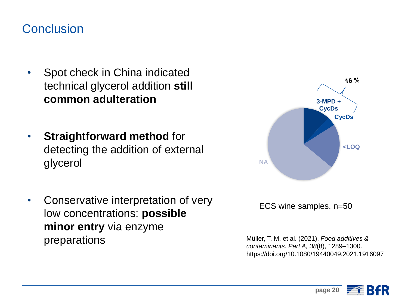#### **Conclusion**

- Spot check in China indicated technical glycerol addition **still common adulteration**
- **Straightforward method for** detecting the addition of external glycerol
- Conservative interpretation of very low concentrations: **possible minor entry** via enzyme preparations Müller, T. M. et al. (2021). *Food additives &*



ECS wine samples, n=50

*contaminants. Part A, 38*(8), 1289–1300. https://doi.org/10.1080/19440049.2021.1916097